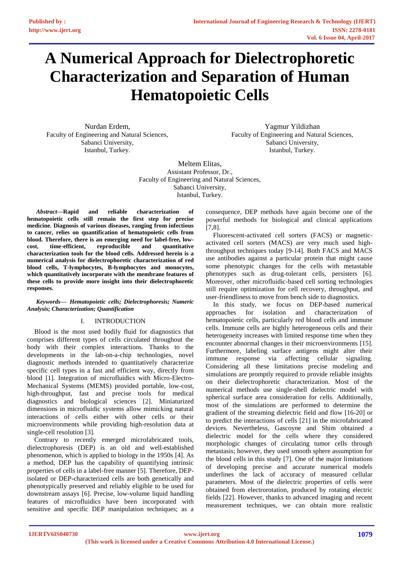# **A Numerical Approach for Dielectrophoretic Characterization and Separation of Human Hematopoietic Cells**

Nurdan Erdem, Faculty of Engineering and Natural Sciences, Sabanci University, Istanbul, Turkey.

Yagmur Yildizhan Faculty of Engineering and Natural Sciences, Sabanci University, Istanbul, Turkey.

Meltem Elitas, Assistant Professor, Dr., Faculty of Engineering and Natural Sciences, Sabanci University, Istanbul, Turkey.

*Abstract***—Rapid and reliable characterization of hematopoietic cells still remain the first step for precise medicine. Diagnosis of various diseases, ranging from infectious to cancer, relies on quantification of hematopoietic cells from blood. Therefore, there is an emerging need for label-free, lowcost, time-efficient, reproducible and quantitative characterization tools for the blood cells. Addressed herein is a numerical analysis for dielectrophoretic characterization of red blood cells, T-lymphocytes, B-lymphocytes and monocytes, which quantitatively incorporate with the membrane features of these cells to provide more insight into their dielectrophoretic responses.**

## *Keywords— Hematopoietic cells; Dielectrophoresis; Numeric Analysis; Characterization; Quantification*

# I. INTRODUCTION

Blood is the most used bodily fluid for diagnostics that comprises different types of cells circulated throughout the body with their complex interactions. Thanks to the developments in the lab-on-a-chip technologies, novel diagnostic methods intended to quantitatively characterize specific cell types in a fast and efficient way, directly from blood [1]. Integration of microfluidics with Micro-Electro-Mechanical Systems (MEMS) provided portable, low-cost, high-throughput, fast and precise tools for medical diagnostics and biological sciences [2]. Miniaturized dimensions in microfluidic systems allow mimicking natural interactions of cells either with other cells or their microenvironments while providing high-resolution data at single-cell resolution [3].

Contrary to recently emerged microfabricated tools, dielectrophoresis (DEP) is an old and well-established phenomenon, which is applied to biology in the 1950s [4]. As a method, DEP has the capability of quantifying intrinsic properties of cells in a label-free manner [5]. Therefore, DEPisolated or DEP-characterized cells are both genetically and phenotypically preserved and reliably eligible to be used for downstream assays [6]. Precise, low-volume liquid handling features of microfluidics have been incorporated with sensitive and specific DEP manipulation techniques; as a

consequence, DEP methods have again become one of the powerful methods for biological and clinical applications [7,8].

Fluorescent-activated cell sorters (FACS) or magneticactivated cell sorters (MACS) are very much used highthroughput techniques today [9-14]. Both FACS and MACS use antibodies against a particular protein that might cause some phenotypic changes for the cells with metastable phenotypes such as drug-tolerant cells, persisters [6]. Moreover, other microfluidic-based cell sorting technologies still require optimization for cell recovery, throughput, and user-friendliness to move from bench side to diagnostics.

In this study, we focus on DEP-based numerical approaches for isolation and characterization of hematopoietic cells, particularly red blood cells and immune cells. Immune cells are highly heterogeneous cells and their heterogeneity increases with limited response time when they encounter abnormal changes in their microenvironments [15]. Furthermore, labeling surface antigens might alter their immune response via affecting cellular signaling. Considering all these limitations precise modeling and simulations are promptly required to provide reliable insights on their dielectrophoretic characterization. Most of the numerical methods use single-shell dielectric model with spherical surface area consideration for cells. Additionally, most of the simulations are performed to determine the gradient of the streaming dielectric field and flow [16-20] or to predict the interactions of cells [21] in the microfabricated devices. Nevertheless, Gascoyne and Shim obtained a dielectric model for the cells where they considered morphologic changes of circulating tumor cells through metastasis; however, they used smooth sphere assumption for the blood cells in this study [7]. One of the major limitations of developing precise and accurate numerical models underlines the lack of accuracy of measured cellular parameters. Most of the dielectric properties of cells were obtained from electrorotation, produced by rotating electric fields [22]. However, thanks to advanced imaging and recent measurement techniques, we can obtain more realistic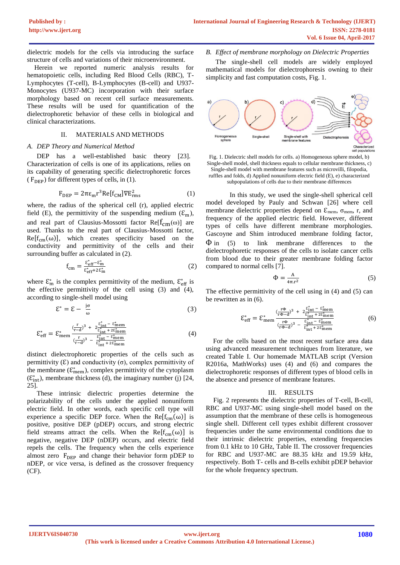dielectric models for the cells via introducing the surface structure of cells and variations of their microenvironment.

Herein we reported numeric analysis results for hematopoietic cells, including Red Blood Cells (RBC), T-Lymphocytes (T-cell), B-Lymphocytes (B-cell) and U937- Monocytes (U937-MC) incorporation with their surface morphology based on recent cell surface measurements. These results will be used for quantification of the dielectrophoretic behavior of these cells in biological and clinical characterizations.

# II. MATERIALS AND METHODS

#### *A. DEP Theory and Numerical Method*

DEP has a well-established basic theory [23]. Characterization of cells is one of its applications, relies on its capability of generating specific dielectrophoretic forces ( $F_{\text{DEP}}$ ) for different types of cells, in (1).

$$
F_{DEP} = 2\pi\epsilon_m r^3 Re[f_{CM}] \nabla E_{rms}^2
$$
 (1)

where, the radius of the spherical cell (r), applied electric field (E), the permittivity of the suspending medium  $(\mathcal{E}_m)$ , and real part of Clausius-Mossotti factor Re $[f_{cm}(\omega)]$  are used. Thanks to the real part of Clausius-Mossotti factor,  $Re[f_{cm}(\omega)]$ , which creates specificity based on the conductivity and permittivity of the cells and their surrounding buffer as calculated in (2).

$$
f_{\rm cm} = \frac{\varepsilon_{\rm eff}^* - \varepsilon_{\rm m}^*}{\varepsilon_{\rm eff}^* + 2\varepsilon_{\rm m}^*}
$$
 (2)

where  $\mathcal{E}_{\text{m}}^{*}$  is the complex permittivity of the medium,  $\mathcal{E}_{\text{eff}}^{*}$  is the effective permittivity of the cell using (3) and (4), according to single-shell model using

$$
\mathcal{E}^* = \mathcal{E} - \frac{j\sigma}{\omega} \tag{3}
$$

$$
\mathcal{E}_{\text{eff}}^{*} = \mathcal{E}_{\text{mem}}^{*} \frac{(\frac{r}{r-d})^3 + 2\frac{\mathcal{E}_{\text{int}}^{*} + \mathcal{E}_{\text{mem}}^{*}}{\mathcal{E}_{\text{int}}^{*} + 2\mathcal{E}_{\text{mem}}^{*}}}{(\frac{r}{r-d})^3 - \frac{\mathcal{E}_{\text{int}}^{*} + \mathcal{E}_{\text{mem}}^{*}}{\mathcal{E}_{\text{int}}^{*} + 2\mathcal{E}_{\text{mem}}^{*}}}
$$
(4)

distinct dielectrophoretic properties of the cells such as permittivity ( $\epsilon$ ) and conductivity ( $\sigma$ ), complex permittivity of the membrane  $(\mathcal{E}^*_{\text{mem}})$ , complex permittivity of the cytoplasm  $(\mathcal{E}_{int}^*)$ , membrane thickness (d), the imaginary number (j) [24, 25].

These intrinsic dielectric properties determine the polarizability of the cells under the applied nonuniform electric field. In other words, each specific cell type will experience a specific DEP force. When the  $Re[f_{cm}(\omega)]$  is positive, positive DEP (pDEP) occurs, and strong electric field streams attract the cells. When the Re $[f_{cm}(\omega)]$  is negative, negative DEP (nDEP) occurs, and electric field repels the cells. The frequency when the cells experience almost zero  $F_{\text{DEP}}$  and change their behavior form pDEP to nDEP, or vice versa, is defined as the crossover frequency (CF).

#### *B. Effect of membrane morphology on Dielectric Properties*

The single-shell cell models are widely employed mathematical models for dielectrophoresis owning to their simplicity and fast computation costs, Fig. 1.



Fig. 1. Dielectric shell models for cells. a) Homogeneous sphere model, b) Single-shell model, shell thickness equals to cellular membrane thickness, c) Single-shell model with membrane features such as microvilli, filopodia, ruffles and folds, d) Applied nonuniform electric field (E), e) characterized subpopulations of cells due to their membrane differences

In this study, we used the single-shell spherical cell model developed by Pauly and Schwan [26] where cell membrane dielectric properties depend on  $\mathcal{E}_{\text{mem}}$ ,  $\sigma_{\text{mem}}$ , r, and frequency of the applied electric field. However, different types of cells have different membrane morphologies. Gascoyne and Shim introduced membrane folding factor,  $\Phi$  in (5) to link membrane differences to the dielectrophoretic responses of the cells to isolate cancer cells from blood due to their greater membrane folding factor compared to normal cells [7].

$$
\Phi = \frac{A}{4\pi \cdot r^2} \tag{5}
$$

The effective permittivity of the cell using in (4) and (5) can be rewritten as in (6).

$$
\mathcal{E}_{\rm eff}^{*} = \mathcal{E}_{\rm mem}^{*} \frac{\frac{r\Phi}{r\Phi - d}^{3} + 2\frac{\mathcal{E}_{\rm int}^{*} - \mathcal{E}_{\rm mem}^{*}}{\mathcal{E}_{\rm int}^{*} + 2\mathcal{E}_{\rm mem}^{*}}}{\frac{r\Phi}{(r\Phi - d)}^{3} - \frac{\mathcal{E}_{\rm int}^{*} - \mathcal{E}_{\rm mem}^{*}}{\mathcal{E}_{\rm int}^{*} + 2\mathcal{E}_{\rm mem}^{*}}}
$$
(6)

For the cells based on the most recent surface area data using advanced measurement techniques from literature, we created Table I. Our homemade MATLAB script (Version R2016a, MathWorks) uses (4) and (6) and compares the dielectrophoretic responses of different types of blood cells in the absence and presence of membrane features.

#### III. RESULTS

Fig. 2 represents the dielectric properties of T-cell, B-cell, RBC and U937-MC using single-shell model based on the assumption that the membrane of these cells is homogeneous single shell. Different cell types exhibit different crossover frequencies under the same environmental conditions due to their intrinsic dielectric properties, extending frequencies from 0.1 kHz to 10 GHz, Table II. The crossover frequencies for RBC and U937-MC are 88.35 kHz and 19.59 kHz, respectively. Both T- cells and B-cells exhibit pDEP behavior for the whole frequency spectrum.

**IJERTV6IS040730**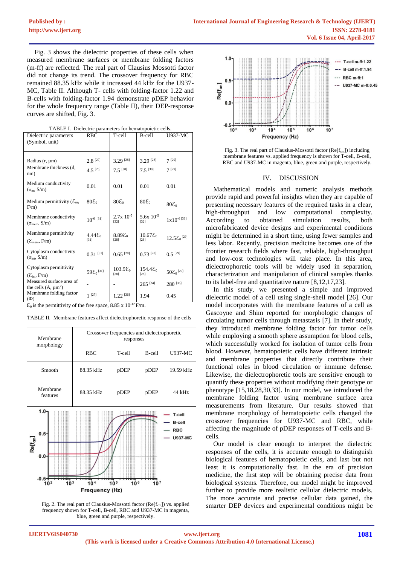Fig. 3 shows the dielectric properties of these cells when measured membrane surfaces or membrane folding factors (m-ff) are reflected. The real part of Clausius Mossotti factor did not change its trend. The crossover frequency for RBC remained 88.35 kHz while it increased 44 kHz for the U937- MC, Table II. Although T- cells with folding-factor 1.22 and B-cells with folding-factor 1.94 demonstrate pDEP behavior for the whole frequency range (Table II), their DEP-response curves are shifted, Fig. 3.

| Dielectric parameters                                                          | $\frac{1}{2}$<br><b>RBC</b>                    | T-cell                     | B-cell                    | <b>U937-MC</b>           |  |
|--------------------------------------------------------------------------------|------------------------------------------------|----------------------------|---------------------------|--------------------------|--|
| (Symbol, unit)                                                                 |                                                |                            |                           |                          |  |
| Radius (r, µm)<br>Membrane thickness (d,<br>nm)                                | $2.8$ <sup>[27]</sup><br>$4.5$ <sup>[25]</sup> | 3.29 [28]<br>$7.5^{[30]}$  | 3.29 [28]<br>$7.5^{[30]}$ | $7^{[29]}$<br>$7^{[29]}$ |  |
| Medium conductivity<br>$(\sigma_m, S/m)$                                       | 0.01                                           | 0.01                       | 0.01                      | 0.01                     |  |
| Medium permittivity ( $\mathcal{E}_{m}$ ,<br>$F/m$ )                           | $80\xi_0$                                      | $80\xi_0$                  | $80\xi_0$                 | $80\xi_0$                |  |
| Membrane conductivity<br>$(\sigma_{\text{mem}}, S/m)$                          | $10^{-6}$ [31]                                 | $2.7x$ $10^{-5}$<br>[32]   | $5.6x$ $10^{-5}$<br>[32]  | $1x10^{-6}[33]$          |  |
| Membrane permittivity<br>$(\mathcal{E}_{\text{mem}}, F/m)$                     | $4.44E_0$<br>[31]                              | $8.89\text{E}_0$<br>$[28]$ | $10.67\xi_0$<br>$[28]$    | $12.5\, \xi_0{}^{[29]}$  |  |
| Cytoplasm conductivity<br>$(\sigma_{\text{int}}, S/m)$                         | $0.31$ <sup>[31]</sup>                         | $0.65$ <sup>[28]</sup>     | $0.73$ <sup>[28]</sup>    | $0.5$ <sup>[29]</sup>    |  |
| Cytoplasm permittivity<br>$(\mathcal{E}_{\text{int}}, \mathcal{F}/\mathbf{m})$ | $59\epsilon_0^{[31]}$                          | $103.9\text{E}_0$<br>[28]  | $154.4\,_{0}$<br>[28]     | $50\epsilon_0^{[29]}$    |  |
| Measured surface area of<br>the cells $(A, \mu m^2)$                           |                                                |                            | $265^{[34]}$              | $280^{[35]}$             |  |
| Membrane folding factor<br>$(\Phi)$                                            | $1^{[27]}$                                     | $1.22$ <sup>[36]</sup>     | 1.94                      | 0.45                     |  |

TABLE I. Dielectric parameters for hematopoietic cells.

 $\mathcal{E}_0$  is the permittivity of the free space, 8.85 x 10<sup>-12</sup> F/m.

|  | TABLE II. Membrane features affect dielectrophoretic response of the cells |  |  |  |  |  |  |  |
|--|----------------------------------------------------------------------------|--|--|--|--|--|--|--|
|--|----------------------------------------------------------------------------|--|--|--|--|--|--|--|



Fig. 2. The real part of Clausius-Mossotti factor (Re[fcm]) vs. applied frequency shown for T-cell, B-cell, RBC and U937-MC in magenta, blue, green and purple, respectively.



Fig. 3. The real part of Clausius-Mossotti factor ( $Re[f<sub>cm</sub>])$  including membrane features vs. applied frequency is shown for T-cell, B-cell, RBC and U937-MC in magenta, blue, green and purple, respectively.

## IV. DISCUSSION

Mathematical models and numeric analysis methods provide rapid and powerful insights when they are capable of presenting necessary features of the required tasks in a clear, high-throughput and low computational complexity. According to obtained simulation results, both microfabricated device designs and experimental conditions might be determined in a short time, using fewer samples and less labor. Recently, precision medicine becomes one of the frontier research fields where fast, reliable, high-throughput and low-cost technologies will take place. In this area, dielectrophoretic tools will be widely used in separation, characterization and manipulation of clinical samples thanks to its label-free and quantitative nature [8,12,17,23].

In this study, we presented a simple and improved dielectric model of a cell using single-shell model [26]. Our model incorporates with the membrane features of a cell as Gascoyne and Shim reported for morphologic changes of circulating tumor cells through metastasis [7]. In their study, they introduced membrane folding factor for tumor cells while employing a smooth sphere assumption for blood cells, which successfully worked for isolation of tumor cells from blood. However, hematopoietic cells have different intrinsic and membrane properties that directly contribute their functional roles in blood circulation or immune defense. Likewise, the dielectrophoretic tools are sensitive enough to quantify these properties without modifying their genotype or phenotype [15,18,28,30,33]. In our model, we introduced the membrane folding factor using membrane surface area measurements from literature. Our results showed that membrane morphology of hematopoietic cells changed the crossover frequencies for U937-MC and RBC, while affecting the magnitude of pDEP responses of T-cells and Bcells.

Our model is clear enough to interpret the dielectric responses of the cells, it is accurate enough to distinguish biological features of hematopoietic cells, and last but not least it is computationally fast. In the era of precision medicine, the first step will be obtaining precise data from biological systems. Therefore, our model might be improved further to provide more realistic cellular dielectric models. The more accurate and precise cellular data gained, the smarter DEP devices and experimental conditions might be